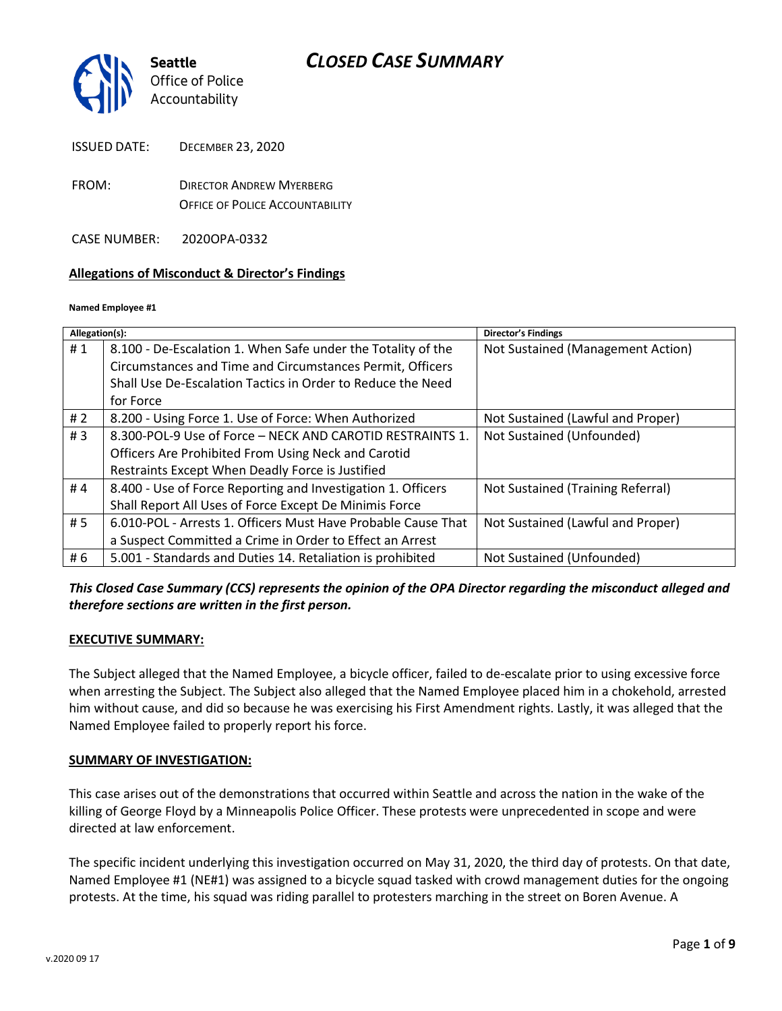

FROM: DIRECTOR ANDREW MYERBERG OFFICE OF POLICE ACCOUNTABILITY

CASE NUMBER: 2020OPA-0332

### **Allegations of Misconduct & Director's Findings**

#### **Named Employee #1**

| Allegation(s): |                                                               | <b>Director's Findings</b>        |
|----------------|---------------------------------------------------------------|-----------------------------------|
| #1             | 8.100 - De-Escalation 1. When Safe under the Totality of the  | Not Sustained (Management Action) |
|                | Circumstances and Time and Circumstances Permit, Officers     |                                   |
|                | Shall Use De-Escalation Tactics in Order to Reduce the Need   |                                   |
|                | for Force                                                     |                                   |
| #2             | 8.200 - Using Force 1. Use of Force: When Authorized          | Not Sustained (Lawful and Proper) |
| #3             | 8.300-POL-9 Use of Force - NECK AND CAROTID RESTRAINTS 1.     | Not Sustained (Unfounded)         |
|                | Officers Are Prohibited From Using Neck and Carotid           |                                   |
|                | Restraints Except When Deadly Force is Justified              |                                   |
| #4             | 8.400 - Use of Force Reporting and Investigation 1. Officers  | Not Sustained (Training Referral) |
|                | Shall Report All Uses of Force Except De Minimis Force        |                                   |
| # 5            | 6.010-POL - Arrests 1. Officers Must Have Probable Cause That | Not Sustained (Lawful and Proper) |
|                | a Suspect Committed a Crime in Order to Effect an Arrest      |                                   |
| # 6            | 5.001 - Standards and Duties 14. Retaliation is prohibited    | Not Sustained (Unfounded)         |

*This Closed Case Summary (CCS) represents the opinion of the OPA Director regarding the misconduct alleged and therefore sections are written in the first person.* 

#### **EXECUTIVE SUMMARY:**

The Subject alleged that the Named Employee, a bicycle officer, failed to de-escalate prior to using excessive force when arresting the Subject. The Subject also alleged that the Named Employee placed him in a chokehold, arrested him without cause, and did so because he was exercising his First Amendment rights. Lastly, it was alleged that the Named Employee failed to properly report his force.

#### **SUMMARY OF INVESTIGATION:**

This case arises out of the demonstrations that occurred within Seattle and across the nation in the wake of the killing of George Floyd by a Minneapolis Police Officer. These protests were unprecedented in scope and were directed at law enforcement.

The specific incident underlying this investigation occurred on May 31, 2020, the third day of protests. On that date, Named Employee #1 (NE#1) was assigned to a bicycle squad tasked with crowd management duties for the ongoing protests. At the time, his squad was riding parallel to protesters marching in the street on Boren Avenue. A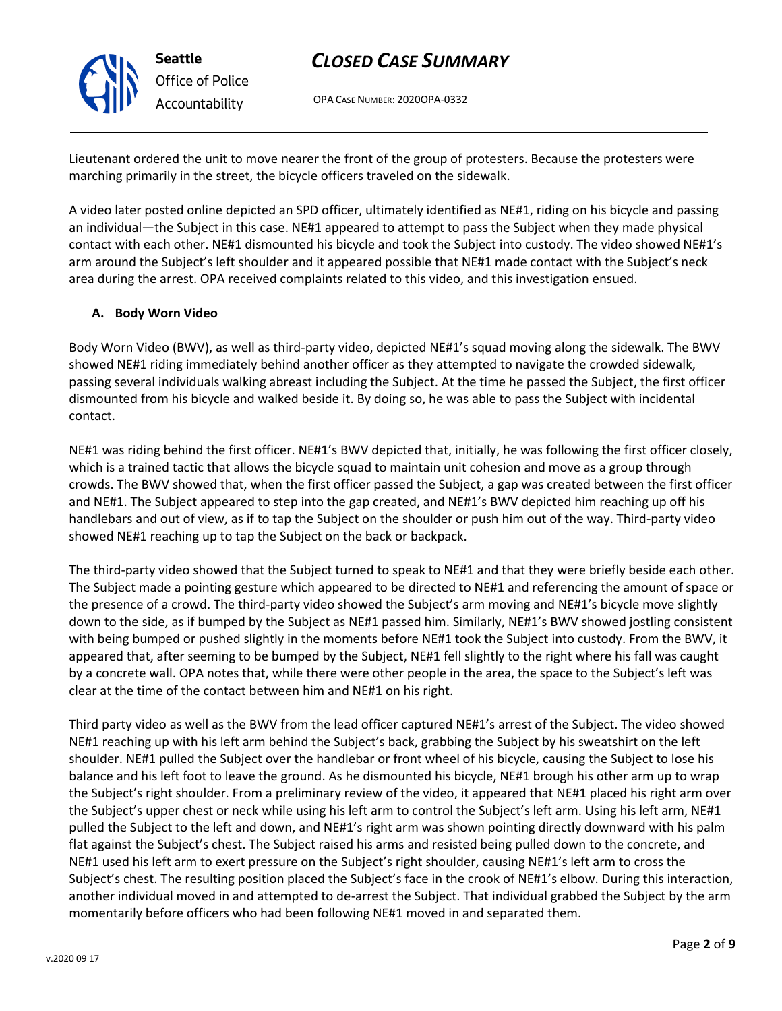OPA CASE NUMBER: 2020OPA-0332

Lieutenant ordered the unit to move nearer the front of the group of protesters. Because the protesters were marching primarily in the street, the bicycle officers traveled on the sidewalk.

A video later posted online depicted an SPD officer, ultimately identified as NE#1, riding on his bicycle and passing an individual—the Subject in this case. NE#1 appeared to attempt to pass the Subject when they made physical contact with each other. NE#1 dismounted his bicycle and took the Subject into custody. The video showed NE#1's arm around the Subject's left shoulder and it appeared possible that NE#1 made contact with the Subject's neck area during the arrest. OPA received complaints related to this video, and this investigation ensued.

### **A. Body Worn Video**

Body Worn Video (BWV), as well as third-party video, depicted NE#1's squad moving along the sidewalk. The BWV showed NE#1 riding immediately behind another officer as they attempted to navigate the crowded sidewalk, passing several individuals walking abreast including the Subject. At the time he passed the Subject, the first officer dismounted from his bicycle and walked beside it. By doing so, he was able to pass the Subject with incidental contact.

NE#1 was riding behind the first officer. NE#1's BWV depicted that, initially, he was following the first officer closely, which is a trained tactic that allows the bicycle squad to maintain unit cohesion and move as a group through crowds. The BWV showed that, when the first officer passed the Subject, a gap was created between the first officer and NE#1. The Subject appeared to step into the gap created, and NE#1's BWV depicted him reaching up off his handlebars and out of view, as if to tap the Subject on the shoulder or push him out of the way. Third-party video showed NE#1 reaching up to tap the Subject on the back or backpack.

The third-party video showed that the Subject turned to speak to NE#1 and that they were briefly beside each other. The Subject made a pointing gesture which appeared to be directed to NE#1 and referencing the amount of space or the presence of a crowd. The third-party video showed the Subject's arm moving and NE#1's bicycle move slightly down to the side, as if bumped by the Subject as NE#1 passed him. Similarly, NE#1's BWV showed jostling consistent with being bumped or pushed slightly in the moments before NE#1 took the Subject into custody. From the BWV, it appeared that, after seeming to be bumped by the Subject, NE#1 fell slightly to the right where his fall was caught by a concrete wall. OPA notes that, while there were other people in the area, the space to the Subject's left was clear at the time of the contact between him and NE#1 on his right.

Third party video as well as the BWV from the lead officer captured NE#1's arrest of the Subject. The video showed NE#1 reaching up with his left arm behind the Subject's back, grabbing the Subject by his sweatshirt on the left shoulder. NE#1 pulled the Subject over the handlebar or front wheel of his bicycle, causing the Subject to lose his balance and his left foot to leave the ground. As he dismounted his bicycle, NE#1 brough his other arm up to wrap the Subject's right shoulder. From a preliminary review of the video, it appeared that NE#1 placed his right arm over the Subject's upper chest or neck while using his left arm to control the Subject's left arm. Using his left arm, NE#1 pulled the Subject to the left and down, and NE#1's right arm was shown pointing directly downward with his palm flat against the Subject's chest. The Subject raised his arms and resisted being pulled down to the concrete, and NE#1 used his left arm to exert pressure on the Subject's right shoulder, causing NE#1's left arm to cross the Subject's chest. The resulting position placed the Subject's face in the crook of NE#1's elbow. During this interaction, another individual moved in and attempted to de-arrest the Subject. That individual grabbed the Subject by the arm momentarily before officers who had been following NE#1 moved in and separated them.



**Seattle**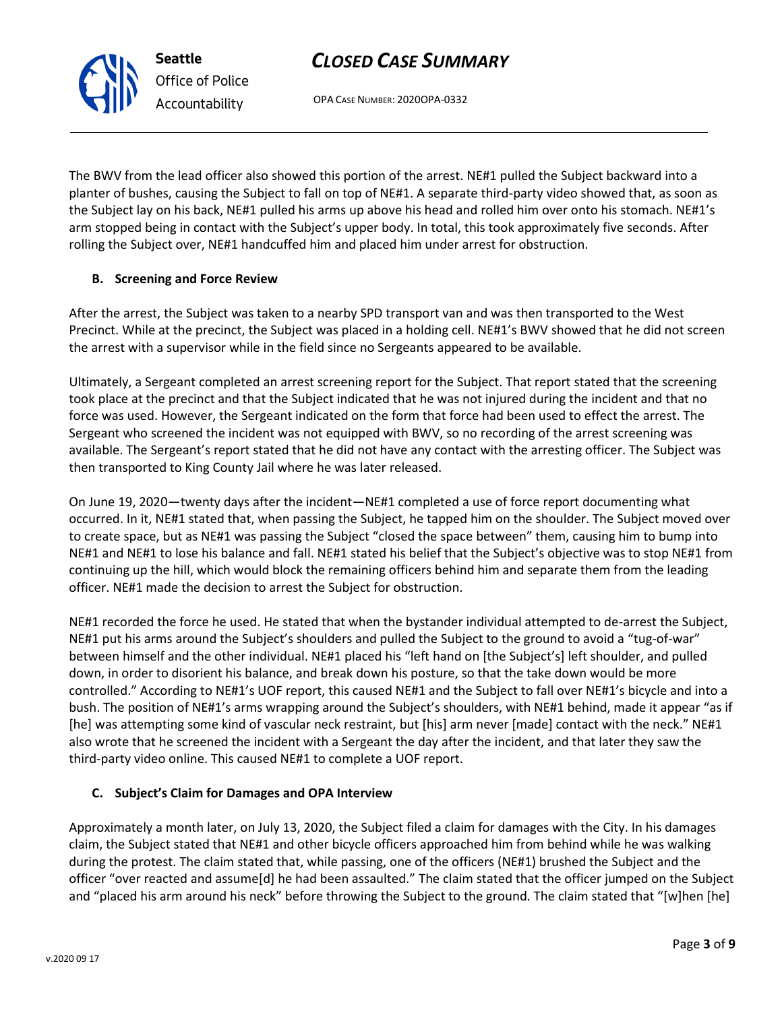OPA CASE NUMBER: 2020OPA-0332

The BWV from the lead officer also showed this portion of the arrest. NE#1 pulled the Subject backward into a planter of bushes, causing the Subject to fall on top of NE#1. A separate third-party video showed that, as soon as the Subject lay on his back, NE#1 pulled his arms up above his head and rolled him over onto his stomach. NE#1's arm stopped being in contact with the Subject's upper body. In total, this took approximately five seconds. After rolling the Subject over, NE#1 handcuffed him and placed him under arrest for obstruction.

### **B. Screening and Force Review**

After the arrest, the Subject was taken to a nearby SPD transport van and was then transported to the West Precinct. While at the precinct, the Subject was placed in a holding cell. NE#1's BWV showed that he did not screen the arrest with a supervisor while in the field since no Sergeants appeared to be available.

Ultimately, a Sergeant completed an arrest screening report for the Subject. That report stated that the screening took place at the precinct and that the Subject indicated that he was not injured during the incident and that no force was used. However, the Sergeant indicated on the form that force had been used to effect the arrest. The Sergeant who screened the incident was not equipped with BWV, so no recording of the arrest screening was available. The Sergeant's report stated that he did not have any contact with the arresting officer. The Subject was then transported to King County Jail where he was later released.

On June 19, 2020—twenty days after the incident—NE#1 completed a use of force report documenting what occurred. In it, NE#1 stated that, when passing the Subject, he tapped him on the shoulder. The Subject moved over to create space, but as NE#1 was passing the Subject "closed the space between" them, causing him to bump into NE#1 and NE#1 to lose his balance and fall. NE#1 stated his belief that the Subject's objective was to stop NE#1 from continuing up the hill, which would block the remaining officers behind him and separate them from the leading officer. NE#1 made the decision to arrest the Subject for obstruction.

NE#1 recorded the force he used. He stated that when the bystander individual attempted to de-arrest the Subject, NE#1 put his arms around the Subject's shoulders and pulled the Subject to the ground to avoid a "tug-of-war" between himself and the other individual. NE#1 placed his "left hand on [the Subject's] left shoulder, and pulled down, in order to disorient his balance, and break down his posture, so that the take down would be more controlled." According to NE#1's UOF report, this caused NE#1 and the Subject to fall over NE#1's bicycle and into a bush. The position of NE#1's arms wrapping around the Subject's shoulders, with NE#1 behind, made it appear "as if [he] was attempting some kind of vascular neck restraint, but [his] arm never [made] contact with the neck." NE#1 also wrote that he screened the incident with a Sergeant the day after the incident, and that later they saw the third-party video online. This caused NE#1 to complete a UOF report.

### **C. Subject's Claim for Damages and OPA Interview**

Approximately a month later, on July 13, 2020, the Subject filed a claim for damages with the City. In his damages claim, the Subject stated that NE#1 and other bicycle officers approached him from behind while he was walking during the protest. The claim stated that, while passing, one of the officers (NE#1) brushed the Subject and the officer "over reacted and assume[d] he had been assaulted." The claim stated that the officer jumped on the Subject and "placed his arm around his neck" before throwing the Subject to the ground. The claim stated that "[w]hen [he]



**Seattle** *Office of Police Accountability*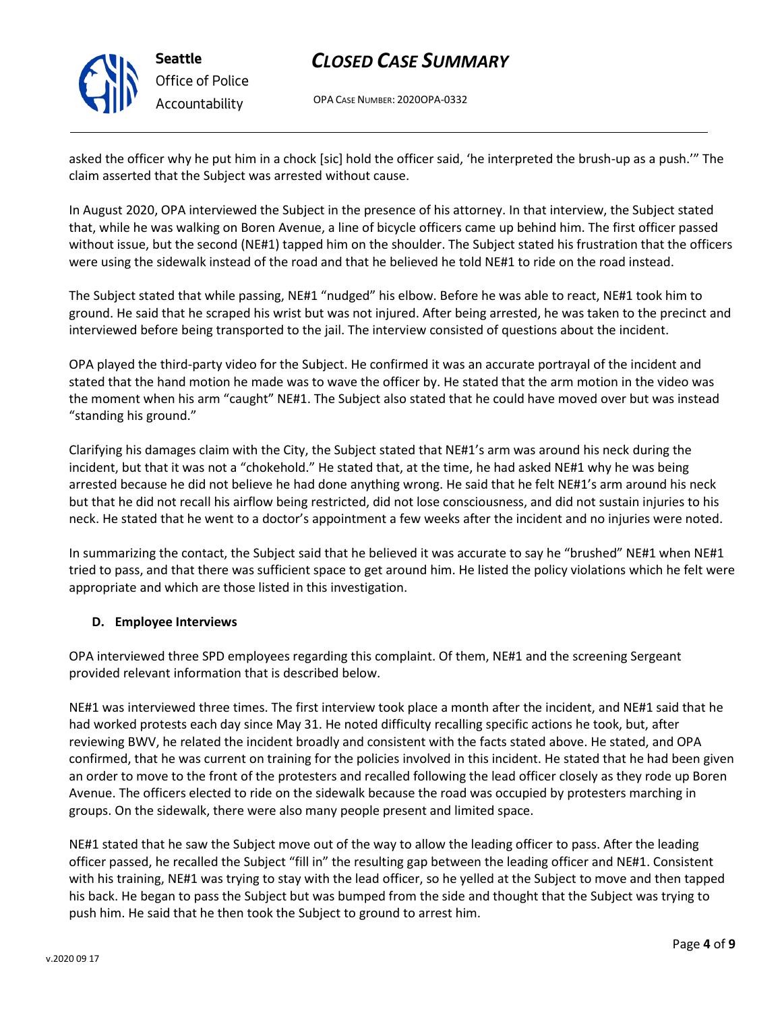

# *Office of Police Accountability*

# *CLOSED CASE SUMMARY*

OPA CASE NUMBER: 2020OPA-0332

asked the officer why he put him in a chock [sic] hold the officer said, 'he interpreted the brush-up as a push.'" The claim asserted that the Subject was arrested without cause.

In August 2020, OPA interviewed the Subject in the presence of his attorney. In that interview, the Subject stated that, while he was walking on Boren Avenue, a line of bicycle officers came up behind him. The first officer passed without issue, but the second (NE#1) tapped him on the shoulder. The Subject stated his frustration that the officers were using the sidewalk instead of the road and that he believed he told NE#1 to ride on the road instead.

The Subject stated that while passing, NE#1 "nudged" his elbow. Before he was able to react, NE#1 took him to ground. He said that he scraped his wrist but was not injured. After being arrested, he was taken to the precinct and interviewed before being transported to the jail. The interview consisted of questions about the incident.

OPA played the third-party video for the Subject. He confirmed it was an accurate portrayal of the incident and stated that the hand motion he made was to wave the officer by. He stated that the arm motion in the video was the moment when his arm "caught" NE#1. The Subject also stated that he could have moved over but was instead "standing his ground."

Clarifying his damages claim with the City, the Subject stated that NE#1's arm was around his neck during the incident, but that it was not a "chokehold." He stated that, at the time, he had asked NE#1 why he was being arrested because he did not believe he had done anything wrong. He said that he felt NE#1's arm around his neck but that he did not recall his airflow being restricted, did not lose consciousness, and did not sustain injuries to his neck. He stated that he went to a doctor's appointment a few weeks after the incident and no injuries were noted.

In summarizing the contact, the Subject said that he believed it was accurate to say he "brushed" NE#1 when NE#1 tried to pass, and that there was sufficient space to get around him. He listed the policy violations which he felt were appropriate and which are those listed in this investigation.

### **D. Employee Interviews**

OPA interviewed three SPD employees regarding this complaint. Of them, NE#1 and the screening Sergeant provided relevant information that is described below.

NE#1 was interviewed three times. The first interview took place a month after the incident, and NE#1 said that he had worked protests each day since May 31. He noted difficulty recalling specific actions he took, but, after reviewing BWV, he related the incident broadly and consistent with the facts stated above. He stated, and OPA confirmed, that he was current on training for the policies involved in this incident. He stated that he had been given an order to move to the front of the protesters and recalled following the lead officer closely as they rode up Boren Avenue. The officers elected to ride on the sidewalk because the road was occupied by protesters marching in groups. On the sidewalk, there were also many people present and limited space.

NE#1 stated that he saw the Subject move out of the way to allow the leading officer to pass. After the leading officer passed, he recalled the Subject "fill in" the resulting gap between the leading officer and NE#1. Consistent with his training, NE#1 was trying to stay with the lead officer, so he yelled at the Subject to move and then tapped his back. He began to pass the Subject but was bumped from the side and thought that the Subject was trying to push him. He said that he then took the Subject to ground to arrest him.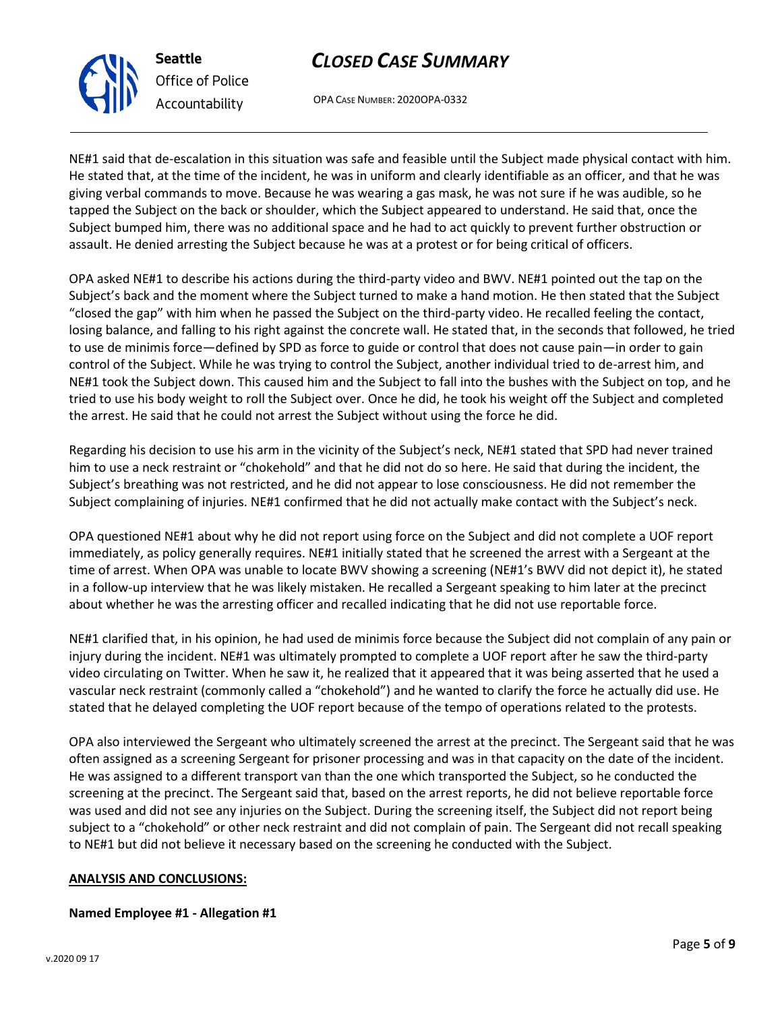OPA CASE NUMBER: 2020OPA-0332

NE#1 said that de-escalation in this situation was safe and feasible until the Subject made physical contact with him. He stated that, at the time of the incident, he was in uniform and clearly identifiable as an officer, and that he was giving verbal commands to move. Because he was wearing a gas mask, he was not sure if he was audible, so he tapped the Subject on the back or shoulder, which the Subject appeared to understand. He said that, once the Subject bumped him, there was no additional space and he had to act quickly to prevent further obstruction or assault. He denied arresting the Subject because he was at a protest or for being critical of officers.

OPA asked NE#1 to describe his actions during the third-party video and BWV. NE#1 pointed out the tap on the Subject's back and the moment where the Subject turned to make a hand motion. He then stated that the Subject "closed the gap" with him when he passed the Subject on the third-party video. He recalled feeling the contact, losing balance, and falling to his right against the concrete wall. He stated that, in the seconds that followed, he tried to use de minimis force—defined by SPD as force to guide or control that does not cause pain—in order to gain control of the Subject. While he was trying to control the Subject, another individual tried to de-arrest him, and NE#1 took the Subject down. This caused him and the Subject to fall into the bushes with the Subject on top, and he tried to use his body weight to roll the Subject over. Once he did, he took his weight off the Subject and completed the arrest. He said that he could not arrest the Subject without using the force he did.

Regarding his decision to use his arm in the vicinity of the Subject's neck, NE#1 stated that SPD had never trained him to use a neck restraint or "chokehold" and that he did not do so here. He said that during the incident, the Subject's breathing was not restricted, and he did not appear to lose consciousness. He did not remember the Subject complaining of injuries. NE#1 confirmed that he did not actually make contact with the Subject's neck.

OPA questioned NE#1 about why he did not report using force on the Subject and did not complete a UOF report immediately, as policy generally requires. NE#1 initially stated that he screened the arrest with a Sergeant at the time of arrest. When OPA was unable to locate BWV showing a screening (NE#1's BWV did not depict it), he stated in a follow-up interview that he was likely mistaken. He recalled a Sergeant speaking to him later at the precinct about whether he was the arresting officer and recalled indicating that he did not use reportable force.

NE#1 clarified that, in his opinion, he had used de minimis force because the Subject did not complain of any pain or injury during the incident. NE#1 was ultimately prompted to complete a UOF report after he saw the third-party video circulating on Twitter. When he saw it, he realized that it appeared that it was being asserted that he used a vascular neck restraint (commonly called a "chokehold") and he wanted to clarify the force he actually did use. He stated that he delayed completing the UOF report because of the tempo of operations related to the protests.

OPA also interviewed the Sergeant who ultimately screened the arrest at the precinct. The Sergeant said that he was often assigned as a screening Sergeant for prisoner processing and was in that capacity on the date of the incident. He was assigned to a different transport van than the one which transported the Subject, so he conducted the screening at the precinct. The Sergeant said that, based on the arrest reports, he did not believe reportable force was used and did not see any injuries on the Subject. During the screening itself, the Subject did not report being subject to a "chokehold" or other neck restraint and did not complain of pain. The Sergeant did not recall speaking to NE#1 but did not believe it necessary based on the screening he conducted with the Subject.

### **ANALYSIS AND CONCLUSIONS:**

### **Named Employee #1 - Allegation #1**



**Seattle** *Office of Police Accountability*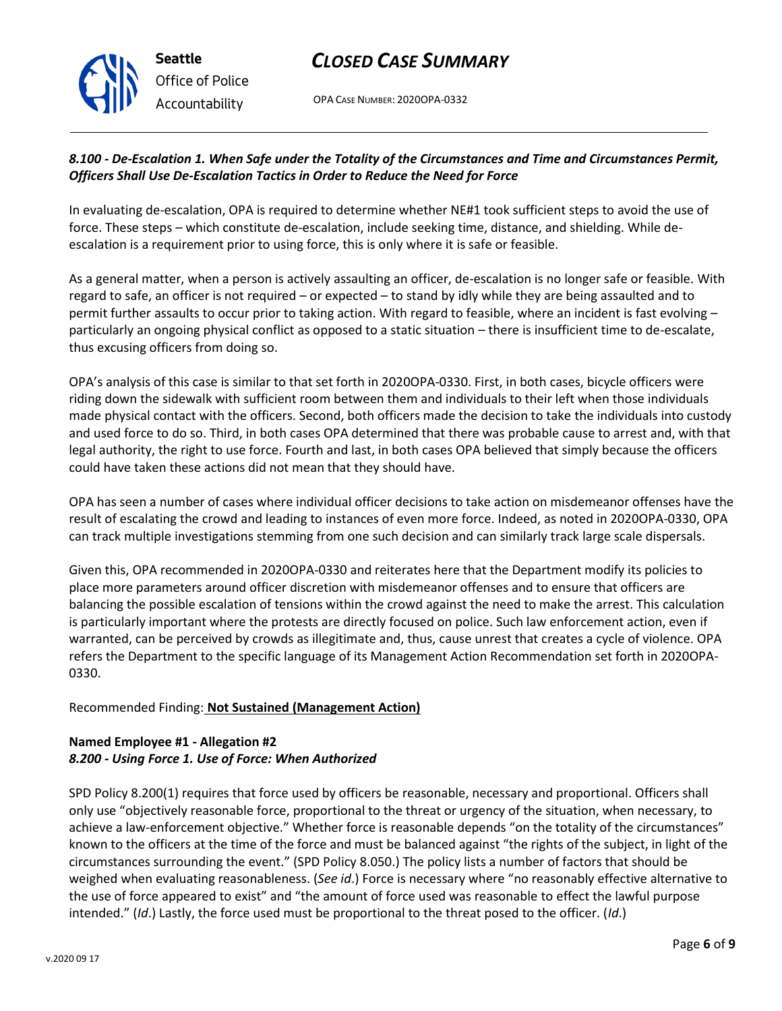

OPA CASE NUMBER: 2020OPA-0332

### *8.100 - De-Escalation 1. When Safe under the Totality of the Circumstances and Time and Circumstances Permit, Officers Shall Use De-Escalation Tactics in Order to Reduce the Need for Force*

In evaluating de-escalation, OPA is required to determine whether NE#1 took sufficient steps to avoid the use of force. These steps – which constitute de-escalation, include seeking time, distance, and shielding. While deescalation is a requirement prior to using force, this is only where it is safe or feasible.

As a general matter, when a person is actively assaulting an officer, de-escalation is no longer safe or feasible. With regard to safe, an officer is not required – or expected – to stand by idly while they are being assaulted and to permit further assaults to occur prior to taking action. With regard to feasible, where an incident is fast evolving – particularly an ongoing physical conflict as opposed to a static situation – there is insufficient time to de-escalate, thus excusing officers from doing so.

OPA's analysis of this case is similar to that set forth in 2020OPA-0330. First, in both cases, bicycle officers were riding down the sidewalk with sufficient room between them and individuals to their left when those individuals made physical contact with the officers. Second, both officers made the decision to take the individuals into custody and used force to do so. Third, in both cases OPA determined that there was probable cause to arrest and, with that legal authority, the right to use force. Fourth and last, in both cases OPA believed that simply because the officers could have taken these actions did not mean that they should have.

OPA has seen a number of cases where individual officer decisions to take action on misdemeanor offenses have the result of escalating the crowd and leading to instances of even more force. Indeed, as noted in 2020OPA-0330, OPA can track multiple investigations stemming from one such decision and can similarly track large scale dispersals.

Given this, OPA recommended in 2020OPA-0330 and reiterates here that the Department modify its policies to place more parameters around officer discretion with misdemeanor offenses and to ensure that officers are balancing the possible escalation of tensions within the crowd against the need to make the arrest. This calculation is particularly important where the protests are directly focused on police. Such law enforcement action, even if warranted, can be perceived by crowds as illegitimate and, thus, cause unrest that creates a cycle of violence. OPA refers the Department to the specific language of its Management Action Recommendation set forth in 2020OPA-0330.

### Recommended Finding: **Not Sustained (Management Action)**

### **Named Employee #1 - Allegation #2** *8.200 - Using Force 1. Use of Force: When Authorized*

SPD Policy 8.200(1) requires that force used by officers be reasonable, necessary and proportional. Officers shall only use "objectively reasonable force, proportional to the threat or urgency of the situation, when necessary, to achieve a law-enforcement objective." Whether force is reasonable depends "on the totality of the circumstances" known to the officers at the time of the force and must be balanced against "the rights of the subject, in light of the circumstances surrounding the event." (SPD Policy 8.050.) The policy lists a number of factors that should be weighed when evaluating reasonableness. (*See id*.) Force is necessary where "no reasonably effective alternative to the use of force appeared to exist" and "the amount of force used was reasonable to effect the lawful purpose intended." (*Id*.) Lastly, the force used must be proportional to the threat posed to the officer. (*Id*.)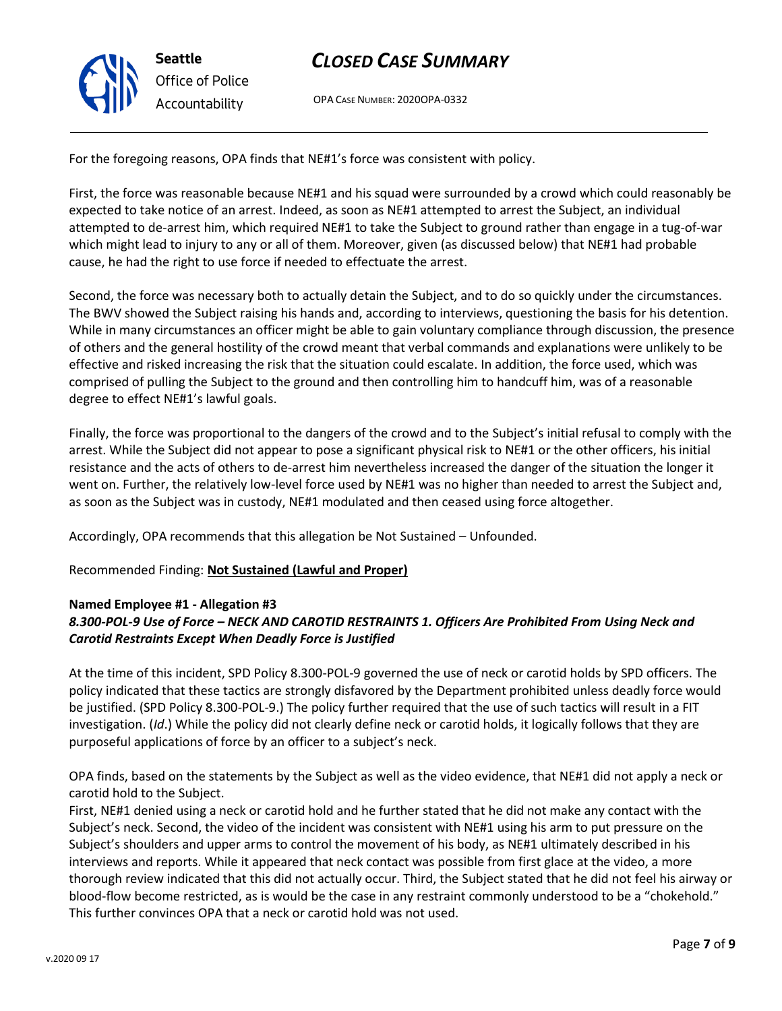

OPA CASE NUMBER: 2020OPA-0332

For the foregoing reasons, OPA finds that NE#1's force was consistent with policy.

First, the force was reasonable because NE#1 and his squad were surrounded by a crowd which could reasonably be expected to take notice of an arrest. Indeed, as soon as NE#1 attempted to arrest the Subject, an individual attempted to de-arrest him, which required NE#1 to take the Subject to ground rather than engage in a tug-of-war which might lead to injury to any or all of them. Moreover, given (as discussed below) that NE#1 had probable cause, he had the right to use force if needed to effectuate the arrest.

Second, the force was necessary both to actually detain the Subject, and to do so quickly under the circumstances. The BWV showed the Subject raising his hands and, according to interviews, questioning the basis for his detention. While in many circumstances an officer might be able to gain voluntary compliance through discussion, the presence of others and the general hostility of the crowd meant that verbal commands and explanations were unlikely to be effective and risked increasing the risk that the situation could escalate. In addition, the force used, which was comprised of pulling the Subject to the ground and then controlling him to handcuff him, was of a reasonable degree to effect NE#1's lawful goals.

Finally, the force was proportional to the dangers of the crowd and to the Subject's initial refusal to comply with the arrest. While the Subject did not appear to pose a significant physical risk to NE#1 or the other officers, his initial resistance and the acts of others to de-arrest him nevertheless increased the danger of the situation the longer it went on. Further, the relatively low-level force used by NE#1 was no higher than needed to arrest the Subject and, as soon as the Subject was in custody, NE#1 modulated and then ceased using force altogether.

Accordingly, OPA recommends that this allegation be Not Sustained – Unfounded.

### Recommended Finding: **Not Sustained (Lawful and Proper)**

### **Named Employee #1 - Allegation #3**

### *8.300-POL-9 Use of Force – NECK AND CAROTID RESTRAINTS 1. Officers Are Prohibited From Using Neck and Carotid Restraints Except When Deadly Force is Justified*

At the time of this incident, SPD Policy 8.300-POL-9 governed the use of neck or carotid holds by SPD officers. The policy indicated that these tactics are strongly disfavored by the Department prohibited unless deadly force would be justified. (SPD Policy 8.300-POL-9.) The policy further required that the use of such tactics will result in a FIT investigation. (*Id*.) While the policy did not clearly define neck or carotid holds, it logically follows that they are purposeful applications of force by an officer to a subject's neck.

OPA finds, based on the statements by the Subject as well as the video evidence, that NE#1 did not apply a neck or carotid hold to the Subject.

First, NE#1 denied using a neck or carotid hold and he further stated that he did not make any contact with the Subject's neck. Second, the video of the incident was consistent with NE#1 using his arm to put pressure on the Subject's shoulders and upper arms to control the movement of his body, as NE#1 ultimately described in his interviews and reports. While it appeared that neck contact was possible from first glace at the video, a more thorough review indicated that this did not actually occur. Third, the Subject stated that he did not feel his airway or blood-flow become restricted, as is would be the case in any restraint commonly understood to be a "chokehold." This further convinces OPA that a neck or carotid hold was not used.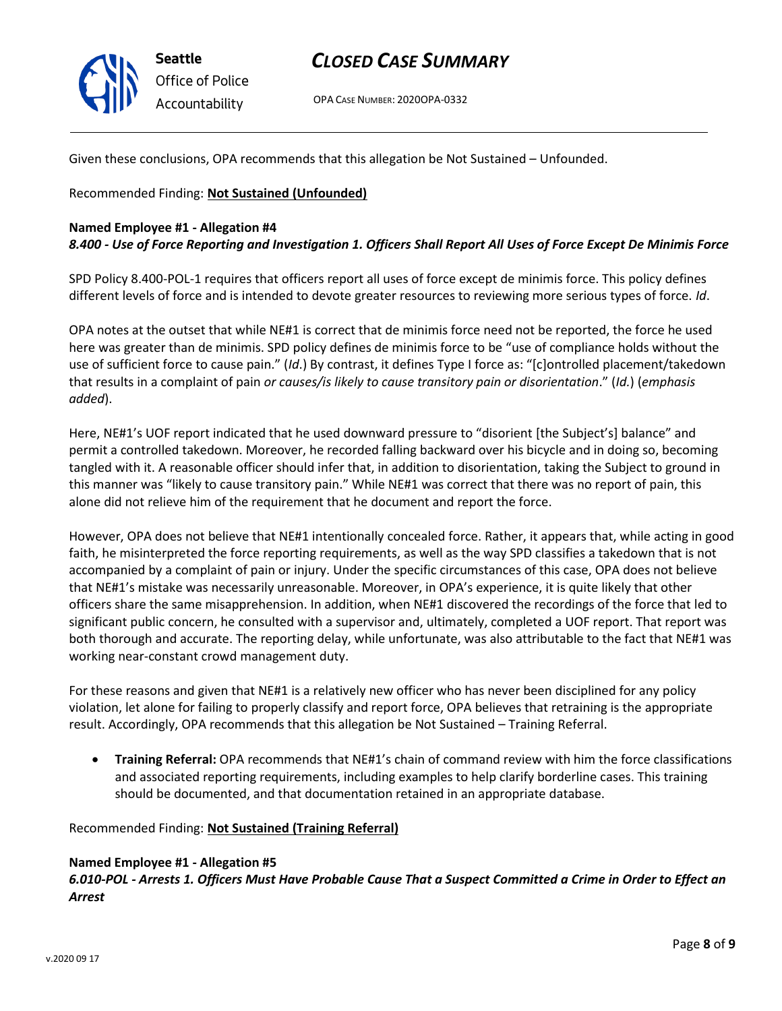

OPA CASE NUMBER: 2020OPA-0332

Given these conclusions, OPA recommends that this allegation be Not Sustained – Unfounded.

Recommended Finding: **Not Sustained (Unfounded)**

### **Named Employee #1 - Allegation #4**

*8.400 - Use of Force Reporting and Investigation 1. Officers Shall Report All Uses of Force Except De Minimis Force*

SPD Policy 8.400-POL-1 requires that officers report all uses of force except de minimis force. This policy defines different levels of force and is intended to devote greater resources to reviewing more serious types of force. *Id*.

OPA notes at the outset that while NE#1 is correct that de minimis force need not be reported, the force he used here was greater than de minimis. SPD policy defines de minimis force to be "use of compliance holds without the use of sufficient force to cause pain." (*Id*.) By contrast, it defines Type I force as: "[c]ontrolled placement/takedown that results in a complaint of pain *or causes/is likely to cause transitory pain or disorientation*." (*Id.*) (*emphasis added*).

Here, NE#1's UOF report indicated that he used downward pressure to "disorient [the Subject's] balance" and permit a controlled takedown. Moreover, he recorded falling backward over his bicycle and in doing so, becoming tangled with it. A reasonable officer should infer that, in addition to disorientation, taking the Subject to ground in this manner was "likely to cause transitory pain." While NE#1 was correct that there was no report of pain, this alone did not relieve him of the requirement that he document and report the force.

However, OPA does not believe that NE#1 intentionally concealed force. Rather, it appears that, while acting in good faith, he misinterpreted the force reporting requirements, as well as the way SPD classifies a takedown that is not accompanied by a complaint of pain or injury. Under the specific circumstances of this case, OPA does not believe that NE#1's mistake was necessarily unreasonable. Moreover, in OPA's experience, it is quite likely that other officers share the same misapprehension. In addition, when NE#1 discovered the recordings of the force that led to significant public concern, he consulted with a supervisor and, ultimately, completed a UOF report. That report was both thorough and accurate. The reporting delay, while unfortunate, was also attributable to the fact that NE#1 was working near-constant crowd management duty.

For these reasons and given that NE#1 is a relatively new officer who has never been disciplined for any policy violation, let alone for failing to properly classify and report force, OPA believes that retraining is the appropriate result. Accordingly, OPA recommends that this allegation be Not Sustained – Training Referral.

• **Training Referral:** OPA recommends that NE#1's chain of command review with him the force classifications and associated reporting requirements, including examples to help clarify borderline cases. This training should be documented, and that documentation retained in an appropriate database.

Recommended Finding: **Not Sustained (Training Referral)**

### **Named Employee #1 - Allegation #5**

*6.010-POL - Arrests 1. Officers Must Have Probable Cause That a Suspect Committed a Crime in Order to Effect an Arrest*